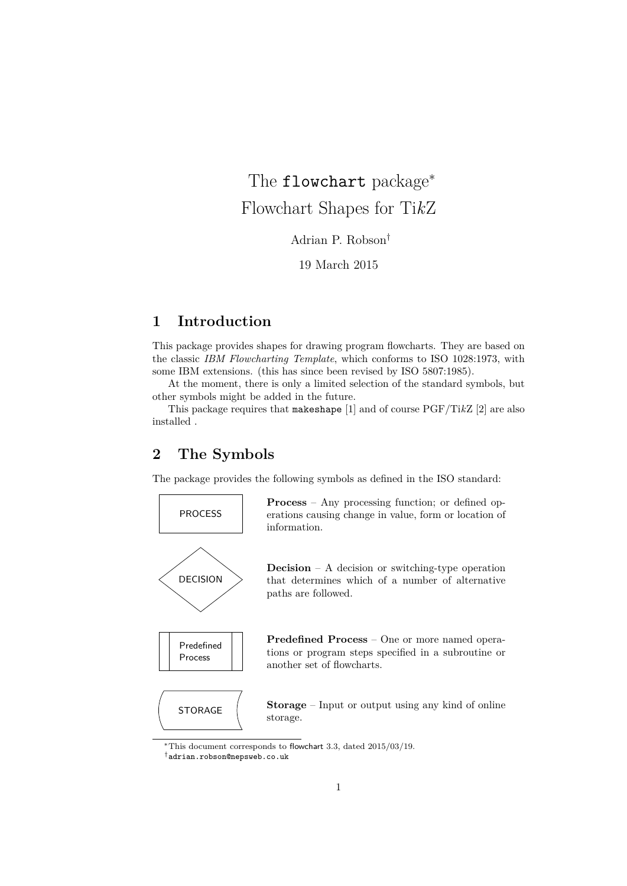The flowchart package<sup>∗</sup> Flowchart Shapes for Ti*k*Z

Adrian P. Robson†

19 March 2015

# **1 Introduction**

This package provides shapes for drawing program flowcharts. They are based on the classic *IBM Flowcharting Template*, which conforms to ISO 1028:1973, with some IBM extensions. (this has since been revised by ISO 5807:1985).

At the moment, there is only a limited selection of the standard symbols, but other symbols might be added in the future.

This package requires that makeshape [1] and of course PGF/Ti*k*Z [2] are also installed .

# **2 The Symbols**

The package provides the following symbols as defined in the ISO standard:



<sup>†</sup>adrian.robson@nepsweb.co.uk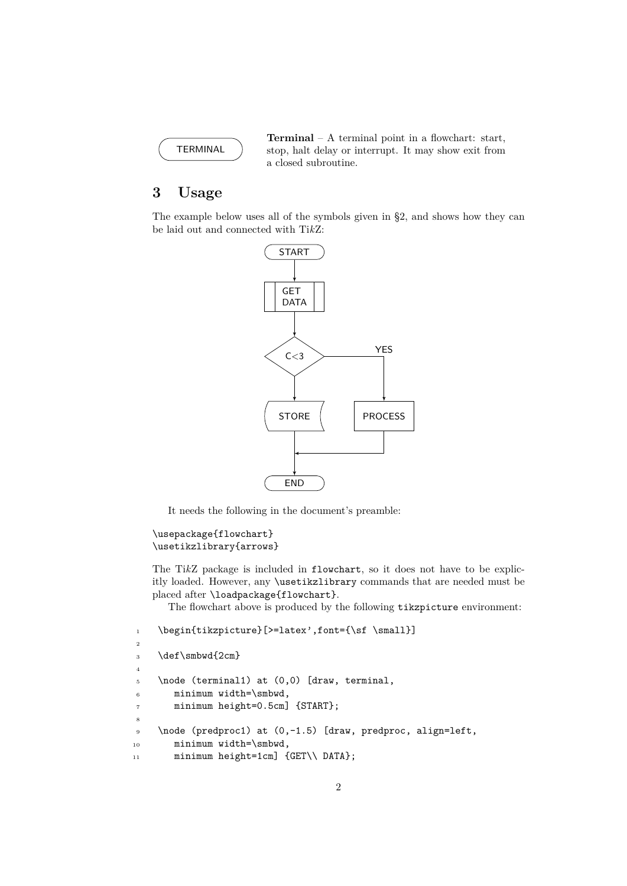

**Terminal** – A terminal point in a flowchart: start, stop, halt delay or interrupt. It may show exit from a closed subroutine.

# **3 Usage**

The example below uses all of the symbols given in §2, and shows how they can be laid out and connected with Ti*k*Z:



It needs the following in the document's preamble:

```
\usepackage{flowchart}
\usetikzlibrary{arrows}
```
The Ti*k*Z package is included in flowchart, so it does not have to be explicitly loaded. However, any \usetikzlibrary commands that are needed must be placed after \loadpackage{flowchart}.

The flowchart above is produced by the following tikzpicture environment:

```
1 \begin{tikzpicture}[>=latex',font={\sf \small}]
2
3 \ \text{def}\smb{d}{2cm}4
5 \quad \text{to be (terminal1) at (0,0) [draw, terminal, ]}6 minimum width=\smbwd,
7 minimum height=0.5cm] {START};
8
9 \node (predproc1) at (0,-1.5) [draw, predproc, align=left,
10 minimum width=\smbwd,
11 minimum height=1cm] {GET\\ DATA};
```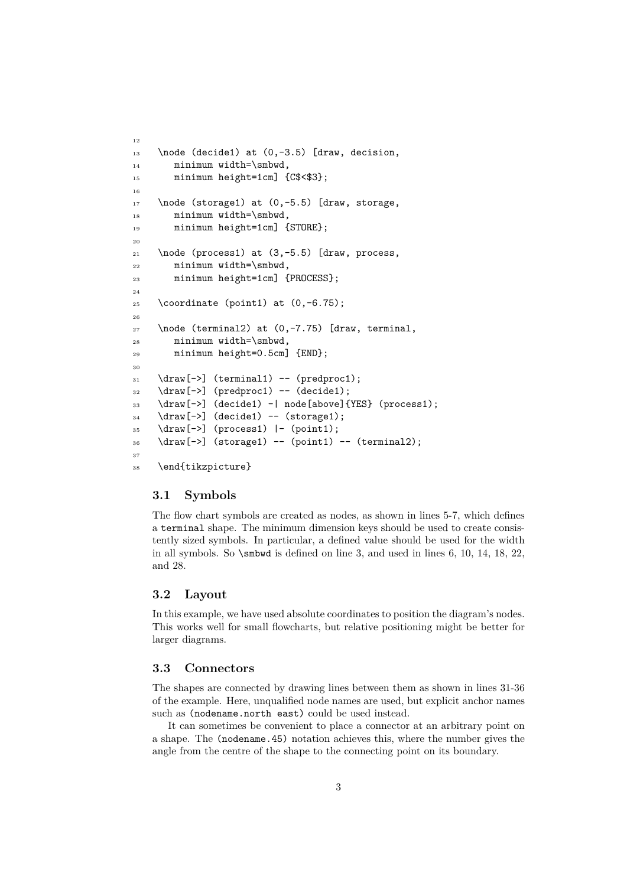```
12
13 \node (decide1) at (0, -3.5) [draw, decision,
14 minimum width=\smbwd,
15 minimum height=1cm] {C$<$3};
16
17 \node (storage1) at (0, -5.5) [draw, storage,
18 minimum width=\smbwd,
19 minimum height=1cm] {STORE};
20
_{21} \node (process1) at (3,-5.5) [draw, process,
22 minimum width=\smbwd,
23 minimum height=1cm] {PROCESS};
^{24}25 \text{ (coordinate (point1) at (0,-6.75)}26
27 \node (terminal2) at (0,-7.75) [draw, terminal,
28 minimum width=\smbwd,
29 minimum height=0.5cm] {END};
30
31 \draw[->] (terminal1) -- (predproc1);
32 \text{ \textdegree} \text{0} (predproc1) -- (decide1);
33 \draw[->] (decide1) -| node[above]{YES} (process1);
34 \langledraw[->] (decide1) -- (storage1);
35 \draw[->] (process1) |- (point1);
36 \draw[->] (storage1) -- (point1) -- (terminal2);
37
38 \end{tikzpicture}
```
## **3.1 Symbols**

The flow chart symbols are created as nodes, as shown in lines 5-7, which defines a terminal shape. The minimum dimension keys should be used to create consistently sized symbols. In particular, a defined value should be used for the width in all symbols. So \smbwd is defined on line 3, and used in lines 6, 10, 14, 18, 22, and 28.

## **3.2 Layout**

In this example, we have used absolute coordinates to position the diagram's nodes. This works well for small flowcharts, but relative positioning might be better for larger diagrams.

#### **3.3 Connectors**

The shapes are connected by drawing lines between them as shown in lines 31-36 of the example. Here, unqualified node names are used, but explicit anchor names such as (nodename.north east) could be used instead.

It can sometimes be convenient to place a connector at an arbitrary point on a shape. The (nodename.45) notation achieves this, where the number gives the angle from the centre of the shape to the connecting point on its boundary.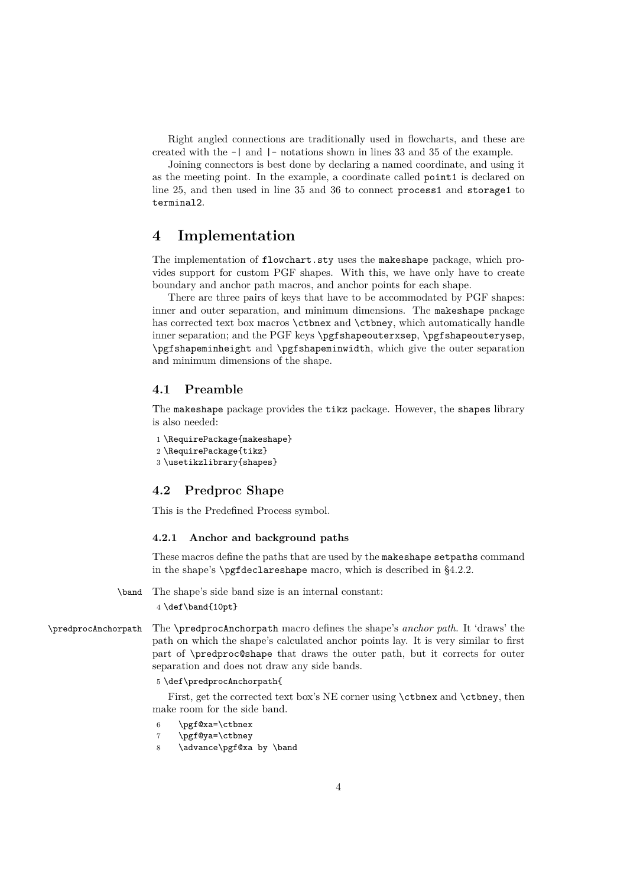Right angled connections are traditionally used in flowcharts, and these are created with the -| and |- notations shown in lines 33 and 35 of the example.

Joining connectors is best done by declaring a named coordinate, and using it as the meeting point. In the example, a coordinate called point1 is declared on line 25, and then used in line 35 and 36 to connect process1 and storage1 to terminal2.

## **4 Implementation**

The implementation of flowchart.sty uses the makeshape package, which provides support for custom PGF shapes. With this, we have only have to create boundary and anchor path macros, and anchor points for each shape.

There are three pairs of keys that have to be accommodated by PGF shapes: inner and outer separation, and minimum dimensions. The makeshape package has corrected text box macros \ctbnex and \ctbney, which automatically handle inner separation; and the PGF keys \pgfshapeouterxsep, \pgfshapeouterysep, \pgfshapeminheight and \pgfshapeminwidth, which give the outer separation and minimum dimensions of the shape.

## **4.1 Preamble**

The makeshape package provides the tikz package. However, the shapes library is also needed:

```
1 \RequirePackage{makeshape}
```

```
2 \RequirePackage{tikz}
```
3 \usetikzlibrary{shapes}

## **4.2 Predproc Shape**

This is the Predefined Process symbol.

## **4.2.1 Anchor and background paths**

These macros define the paths that are used by the makeshape setpaths command in the shape's \pgfdeclareshape macro, which is described in §4.2.2.

\band The shape's side band size is an internal constant:

4 \def\band{10pt}

\predprocAnchorpath The \predprocAnchorpath macro defines the shape's *anchor path*. It 'draws' the path on which the shape's calculated anchor points lay. It is very similar to first part of \predproc@shape that draws the outer path, but it corrects for outer separation and does not draw any side bands.

#### 5 \def\predprocAnchorpath{

First, get the corrected text box's NE corner using \ctbnex and \ctbney, then make room for the side band.

- 6 \pgf@xa=\ctbnex
- 7 \pgf@ya=\ctbney
- 8 \advance\pgf@xa by \band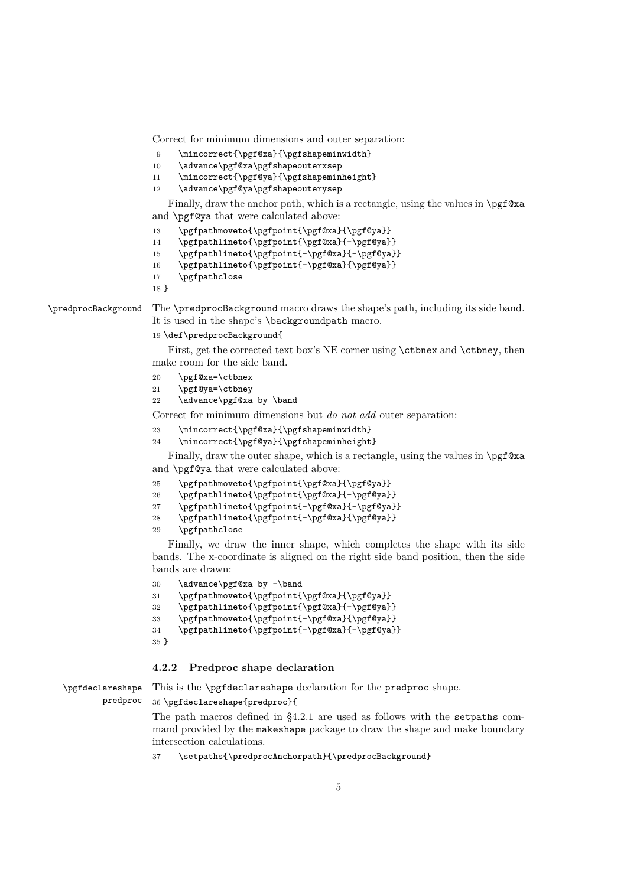Correct for minimum dimensions and outer separation:

- 9 \mincorrect{\pgf@xa}{\pgfshapeminwidth}
- 10 \advance\pgf@xa\pgfshapeouterxsep
- 11 \mincorrect{\pgf@ya}{\pgfshapeminheight}
- 12 \advance\pgf@ya\pgfshapeouterysep

Finally, draw the anchor path, which is a rectangle, using the values in \pgf@xa and \pgf@ya that were calculated above:

- 13 \pgfpathmoveto{\pgfpoint{\pgf@xa}{\pgf@ya}}
- 14 \pgfpathlineto{\pgfpoint{\pgf@xa}{-\pgf@ya}}

15 \pgfpathlineto{\pgfpoint{-\pgf@xa}{-\pgf@ya}}

- 16 \pgfpathlineto{\pgfpoint{-\pgf@xa}{\pgf@ya}}
- 17 \pgfpathclose

18 }

\predprocBackground The \predprocBackground macro draws the shape's path, including its side band. It is used in the shape's \backgroundpath macro.

19 \def\predprocBackground{

First, get the corrected text box's NE corner using  $\ctb$ nex and  $\ctb$ ney, then make room for the side band.

- 20 \pgf@xa=\ctbnex
- 21 \pgf@ya=\ctbney
- 22 \advance\pgf@xa by \band

Correct for minimum dimensions but *do not add* outer separation:

- 23 \mincorrect{\pgf@xa}{\pgfshapeminwidth}
- 24 \mincorrect{\pgf@ya}{\pgfshapeminheight}

Finally, draw the outer shape, which is a rectangle, using the values in \pgf@xa and \pgf@ya that were calculated above:

- 25 \pgfpathmoveto{\pgfpoint{\pgf@xa}{\pgf@ya}}
- 26 \pgfpathlineto{\pgfpoint{\pgf@xa}{-\pgf@ya}}
- 27 \pgfpathlineto{\pgfpoint{-\pgf@xa}{-\pgf@ya}}
- 28 \pgfpathlineto{\pgfpoint{-\pgf@xa}{\pgf@ya}}
- 29 \pgfpathclose

Finally, we draw the inner shape, which completes the shape with its side bands. The x-coordinate is aligned on the right side band position, then the side bands are drawn:

- 30 \advance\pgf@xa by -\band
- 31 \pgfpathmoveto{\pgfpoint{\pgf@xa}{\pgf@ya}}
- 32 \pgfpathlineto{\pgfpoint{\pgf@xa}{-\pgf@ya}}
- 33 \pgfpathmoveto{\pgfpoint{-\pgf@xa}{\pgf@ya}}
- 34 \pgfpathlineto{\pgfpoint{-\pgf@xa}{-\pgf@ya}}
- 35 }

#### **4.2.2 Predproc shape declaration**

\pgfdeclareshape This is the \pgfdeclareshape declaration for the predproc shape.

predproc 36 \pgfdeclareshape{predproc}{

> The path macros defined in §4.2.1 are used as follows with the setpaths command provided by the makeshape package to draw the shape and make boundary intersection calculations.

37 \setpaths{\predprocAnchorpath}{\predprocBackground}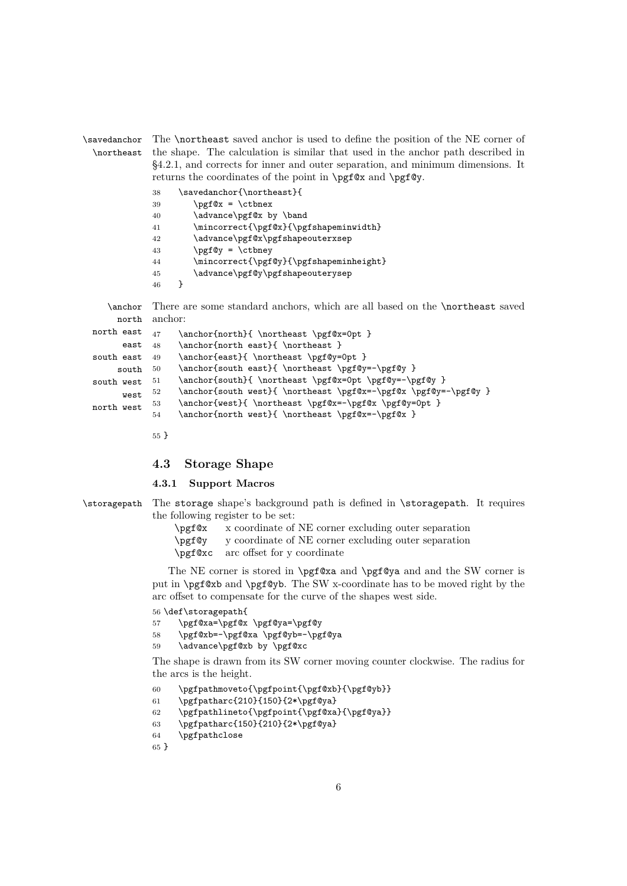\savedanchor \northeast The \northeast saved anchor is used to define the position of the NE corner of the shape. The calculation is similar that used in the anchor path described in §4.2.1, and corrects for inner and outer separation, and minimum dimensions. It returns the coordinates of the point in \pgf@x and \pgf@y.

| 38 | \savedanchor{\northeast}{                        |
|----|--------------------------------------------------|
| 39 | $\pgf@x = \ctbnex$                               |
| 40 | \advance\pgf@x by \band                          |
| 41 | \mincorrect{\pgf@x}{\pgfshapeminwidth}           |
| 42 | \advance\pgf@x\pgfshapeouterxsep                 |
| 43 | $\begin{pmatrix} - & \text{other} \end{pmatrix}$ |
| 44 | \mincorrect{\pgf@y}{\pgfshapeminheight}          |
| 45 | \advance\pgf@y\pgfshapeouterysep                 |
| 46 |                                                  |

\anchor There are some standard anchors, which are all based on the \northeast saved north anchor:

| north east | 47 | \anchor{north}{ \northeast \pgf@x=0pt }                         |
|------------|----|-----------------------------------------------------------------|
| east       | 48 | \anchor{north east}{ \northeast }                               |
| south east | 49 | \anchor{east}{ \northeast \pgf@y=0pt }                          |
| south      | 50 | \anchor{south east}{ \northeast \pgf@y=-\pgf@y }                |
| south west | 51 | \anchor{south}{ \northeast \pgf@x=0pt \pgf@y=-\pgf@y }          |
| west       | 52 | \anchor{south west}{ \northeast \pgf@x=-\pgf@x \pgf@y=-\pgf@y } |
| north west | 53 | \anchor{west}{ \northeast \pgf@x=-\pgf@x \pgf@y=0pt }           |
|            | 54 | \anchor{north west}{ \northeast \pgf@x=-\pgf@x }                |
|            |    |                                                                 |

55 }

#### **4.3 Storage Shape**

#### **4.3.1 Support Macros**

- \storagepath The storage shape's background path is defined in \storagepath. It requires the following register to be set:
	- \pgf@x x coordinate of NE corner excluding outer separation
	- \pgf@y y coordinate of NE corner excluding outer separation
	- \pgf@xc arc offset for y coordinate

The NE corner is stored in \pgf@xa and \pgf@ya and and the SW corner is put in \pgf@xb and \pgf@yb. The SW x-coordinate has to be moved right by the arc offset to compensate for the curve of the shapes west side.

#### 56 \def\storagepath{

- 57 \pgf@xa=\pgf@x \pgf@ya=\pgf@y
- 58 \pgf@xb=-\pgf@xa \pgf@yb=-\pgf@ya
- 59 \advance\pgf@xb by \pgf@xc

The shape is drawn from its SW corner moving counter clockwise. The radius for the arcs is the height.

```
60 \pgfpathmoveto{\pgfpoint{\pgf@xb}{\pgf@yb}}
```

```
61 \pgfpatharc{210}{150}{2*\pgf@ya}
```

```
62 \pgfpathlineto{\pgfpoint{\pgf@xa}{\pgf@ya}}
```

```
63 \pgfpatharc{150}{210}{2*\pgf@ya}
```

```
64 \pgfpathclose
```

```
65 }
```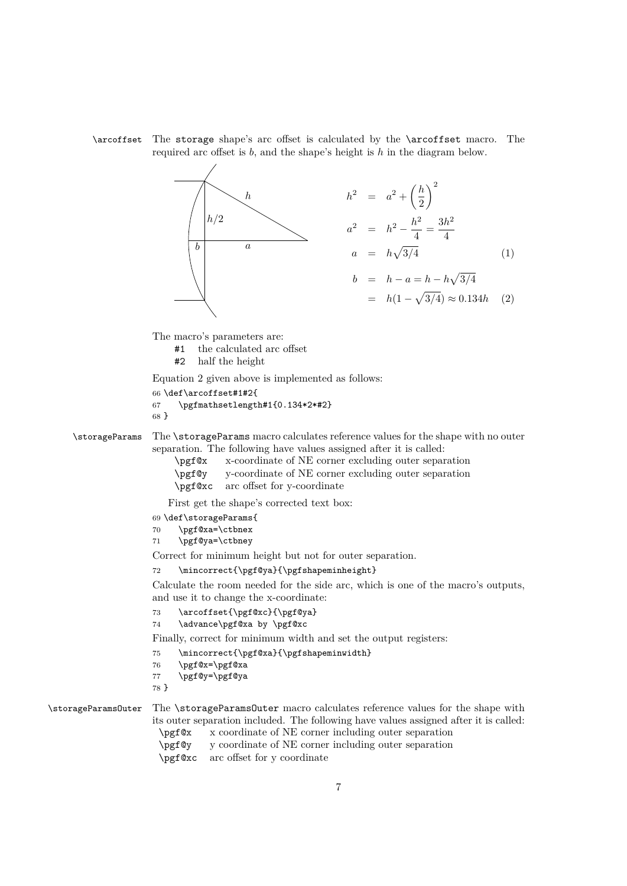\arcoffset The storage shape's arc offset is calculated by the \arcoffset macro. The required arc offset is *b*, and the shape's height is *h* in the diagram below.



The macro's parameters are:

- #1 the calculated arc offset
- #2 half the height

Equation 2 given above is implemented as follows:

```
66 \def\arcoffset#1#2{
67 \pgfmathsetlength#1{0.134*2*#2}
68 }
```
\storageParams The \storageParams macro calculates reference values for the shape with no outer separation. The following have values assigned after it is called:

| \pgf@x | x-coordinate of NE corner excluding outer separation                                                                                                                                                                           |
|--------|--------------------------------------------------------------------------------------------------------------------------------------------------------------------------------------------------------------------------------|
|        | \pgf\\pgt\text{pgf\text{\pgf\text{\pgf\text{\pgf\text{\pgf\text{\pgf\text{\pgf\text{\pgf\text{\pgf\text{\pgf\text{\pgf\text{\pgf\text{\pgf\text{\pgf\text{\pgf\text{\pgf\text{\pgf\text{\pgf\text{\pgf\text{\pgf\text{\pgf\tex |
|        | \pgf@xc arc offset for y-coordinate                                                                                                                                                                                            |

First get the shape's corrected text box:

- 69 \def\storageParams{
- 70 \pgf@xa=\ctbnex
- 71 \pgf@ya=\ctbney

Correct for minimum height but not for outer separation.

72 \mincorrect{\pgf@ya}{\pgfshapeminheight}

Calculate the room needed for the side arc, which is one of the macro's outputs, and use it to change the x-coordinate:

73 \arcoffset{\pgf@xc}{\pgf@ya}

```
74 \advance\pgf@xa by \pgf@xc
```
Finally, correct for minimum width and set the output registers:

- 75 \mincorrect{\pgf@xa}{\pgfshapeminwidth}
- 76 \pgf@x=\pgf@xa
- 77 \pgf@y=\pgf@ya
- 78 }

\storageParamsOuter The \storageParamsOuter macro calculates reference values for the shape with its outer separation included. The following have values assigned after it is called: \pgf@x x coordinate of NE corner including outer separation

- \pgf@y y coordinate of NE corner including outer separation
- \pgf@xc arc offset for y coordinate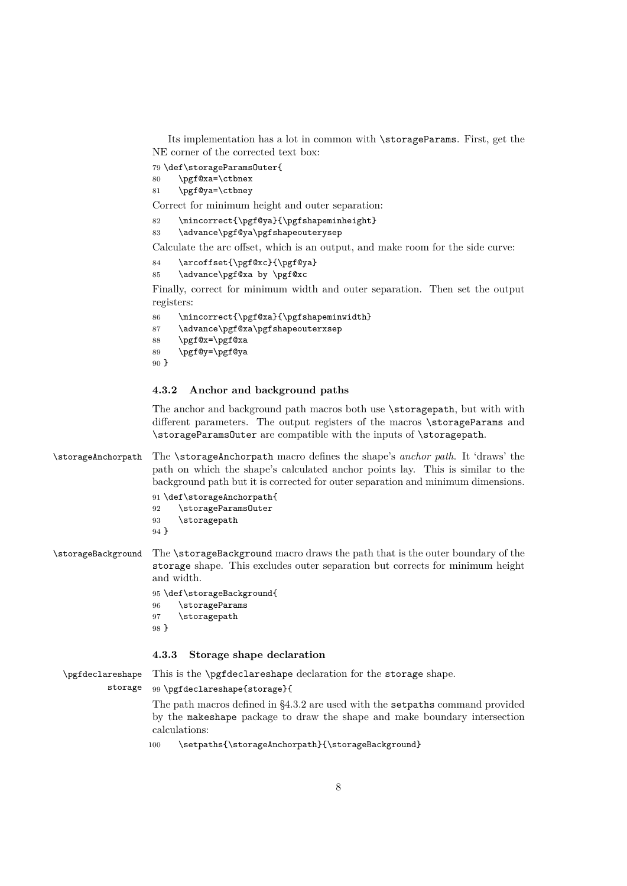Its implementation has a lot in common with \storageParams. First, get the NE corner of the corrected text box:

79 \def\storageParamsOuter{

- 80 \pgf@xa=\ctbnex
- 81 \pgf@ya=\ctbney

Correct for minimum height and outer separation:

- 82 \mincorrect{\pgf@ya}{\pgfshapeminheight}
- 83 \advance\pgf@ya\pgfshapeouterysep

Calculate the arc offset, which is an output, and make room for the side curve:

```
84 \arcoffset{\pgf@xc}{\pgf@ya}
85 \advance\pgf@xa by \pgf@xc
```
Finally, correct for minimum width and outer separation. Then set the output registers:

```
86 \mincorrect{\pgf@xa}{\pgfshapeminwidth}
87 \advance\pgf@xa\pgfshapeouterxsep
88 \pgf@x=\pgf@xa
89 \pgf@y=\pgf@ya
90 }
```
## **4.3.2 Anchor and background paths**

The anchor and background path macros both use  $\lambda$  toragepath, but with with different parameters. The output registers of the macros \storageParams and \storageParamsOuter are compatible with the inputs of \storagepath.

## \storageAnchorpath The \storageAnchorpath macro defines the shape's *anchor path*. It 'draws' the path on which the shape's calculated anchor points lay. This is similar to the background path but it is corrected for outer separation and minimum dimensions.

| 91 \def\storageAnchorpath{ |
|----------------------------|
| \storageParams0uter        |
|                            |
|                            |
|                            |

\storageBackground The \storageBackground macro draws the path that is the outer boundary of the storage shape. This excludes outer separation but corrects for minimum height and width.

```
95 \def\storageBackground{
96 \storageParams
97 \storagepath
98 }
```
## **4.3.3 Storage shape declaration**

\pgfdeclareshape storage This is the \pgfdeclareshape declaration for the storage shape. 99 \pgfdeclareshape{storage}{ The path macros defined in §4.3.2 are used with the setpaths command provided by the makeshape package to draw the shape and make boundary intersection

calculations:

100 \setpaths{\storageAnchorpath}{\storageBackground}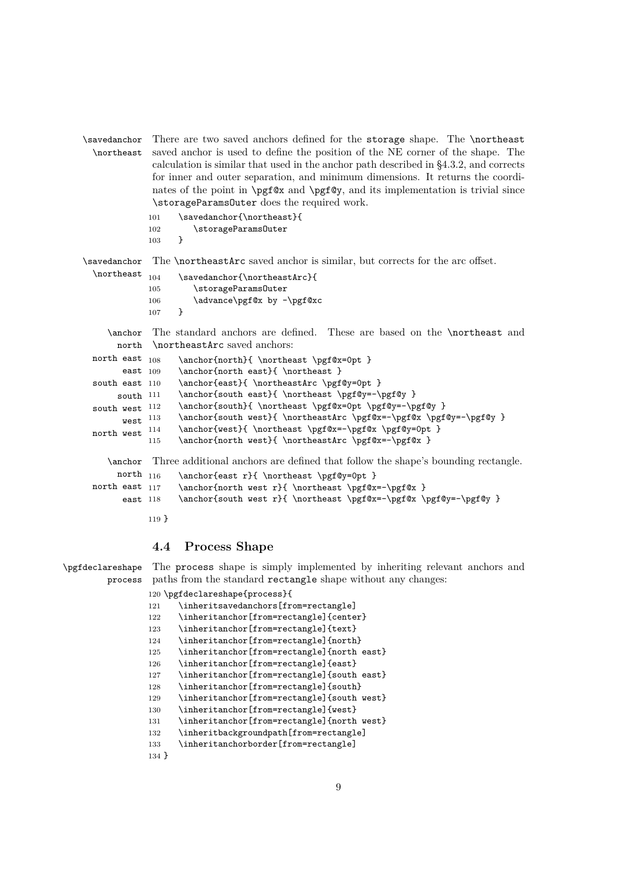```
\savedanchor
  \northeast
              There are two saved anchors defined for the storage shape. The \northeast
              saved anchor is used to define the position of the NE corner of the shape. The
              calculation is similar that used in the anchor path described in §4.3.2, and corrects
              for inner and outer separation, and minimum dimensions. It returns the coordi-
              nates of the point in \pgf@x and \pgf@y, and its implementation is trivial since
              \storageParamsOuter does the required work.
```

```
101 \savedanchor{\northeast}{
102 \storageParamsOuter
103 \frac{}{}
```
\savedanchor \northeast  $_{104}$ The **\northeastArc** saved anchor is similar, but corrects for the arc offset. \savedanchor{\northeastArc}{

```
105 \storageParamsOuter
106 \advance\pgf@x by -\pgf@xc
107 }
```
\anchor north \northeastArc saved anchors: The standard anchors are defined. These are based on the \northeast and

```
north east 108east 109
south east 110
     south 111
south west 112west<sup>113</sup>
north west ^{\,114}\anchor{north}{ \northeast \pgf@x=0pt }
                  \anchor{north east}{ \northeast }
                  \anchor{east}{ \northeastArc \pgf@y=0pt }
                  \anchor{south east}{ \northeast \pgf@y=-\pgf@y }
                  \anchor{south}{ \northeast \pgf@x=0pt \pgf@y=-\pgf@y }
                  \anchor{south west}{ \northeastArc \pgf@x=-\pgf@x \pgf@y=-\pgf@y }
                  \anchor{west}{ \northeast \pgf@x=-\pgf@x \pgf@y=0pt }
           115 \anchor{north west}{ \northeastArc \pgf@x=-\pgf@x }
   \anchor
Three additional anchors are defined that follow the shape's bounding rectangle.
     north 116north east 117
      east 118
                  116 \anchor{east r}{ \northeast \pgf@y=0pt }
                  \archor{north west r} \northeast \pgf@x=-\pgf@x }
                  \anchor{south west r}{ \northeast \pgf@x=-\pgf@x \pgf@y=-\pgf@y }
```
119 }

## **4.4 Process Shape**

\pgfdeclareshape process The process shape is simply implemented by inheriting relevant anchors and paths from the standard rectangle shape without any changes:

```
120 \pgfdeclareshape{process}{
121 \inheritsavedanchors[from=rectangle]
122 \inheritanchor[from=rectangle]{center}
123 \inheritanchor[from=rectangle]{text}
124 \inheritanchor[from=rectangle]{north}
125 \inheritanchor[from=rectangle]{north east}
126 \inheritanchor[from=rectangle]{east}
127 \inheritanchor[from=rectangle]{south east}
128 \inheritanchor[from=rectangle]{south}
129 \inheritanchor[from=rectangle]{south west}
130 \inheritanchor[from=rectangle]{west}
131 \inheritanchor[from=rectangle]{north west}
132 \inheritbackgroundpath[from=rectangle]
133 \inheritanchorborder[from=rectangle]
134 }
```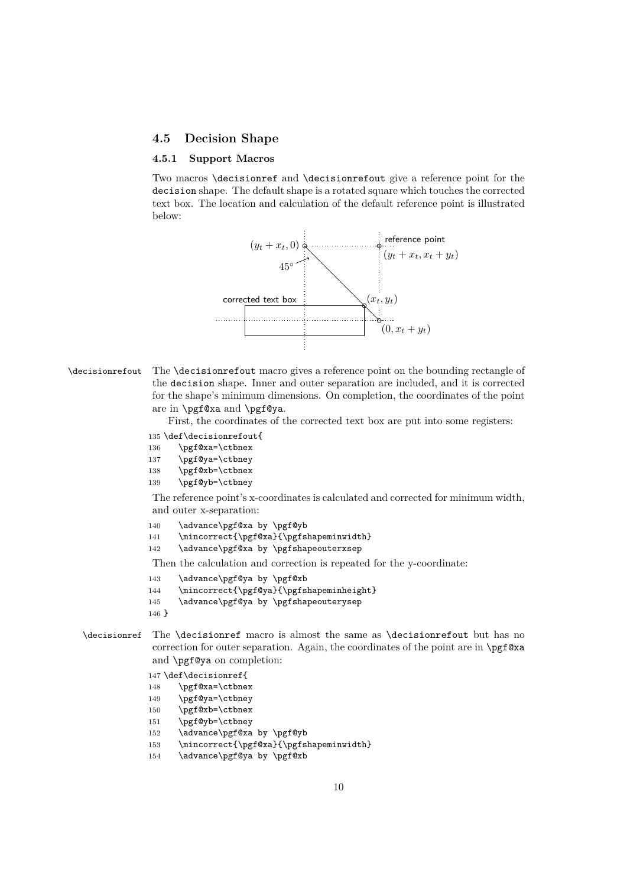#### **4.5 Decision Shape**

#### **4.5.1 Support Macros**

Two macros \decisionref and \decisionrefout give a reference point for the decision shape. The default shape is a rotated square which touches the corrected text box. The location and calculation of the default reference point is illustrated below:



\decisionrefout The \decisionrefout macro gives a reference point on the bounding rectangle of the decision shape. Inner and outer separation are included, and it is corrected for the shape's minimum dimensions. On completion, the coordinates of the point are in \pgf@xa and \pgf@ya.

First, the coordinates of the corrected text box are put into some registers:

#### 135 \def\decisionrefout{

- 136 \pgf@xa=\ctbnex
- 137 \pgf@ya=\ctbney
- 138 \pgf@xb=\ctbnex
- 139 \pgf@yb=\ctbney

The reference point's x-coordinates is calculated and corrected for minimum width, and outer x-separation:

- 140 \advance\pgf@xa by \pgf@yb
- 141 \mincorrect{\pgf@xa}{\pgfshapeminwidth}
- 142 \advance\pgf@xa by \pgfshapeouterxsep

Then the calculation and correction is repeated for the y-coordinate:

- 143 \advance\pgf@ya by \pgf@xb
- 144 \mincorrect{\pgf@ya}{\pgfshapeminheight}
- 145 \advance\pgf@ya by \pgfshapeouterysep
- 146 }
- \decisionref The \decisionref macro is almost the same as \decisionrefout but has no correction for outer separation. Again, the coordinates of the point are in \pgf@xa and \pgf@ya on completion:

147 \def\decisionref{

- 148 \pgf@xa=\ctbnex
- 149 \pgf@ya=\ctbney
- 150 \pgf@xb=\ctbnex
- 151 \pgf@yb=\ctbney
- 152 \advance\pgf@xa by \pgf@yb
- 153 \mincorrect{\pgf@xa}{\pgfshapeminwidth}
- 154 \advance\pgf@ya by \pgf@xb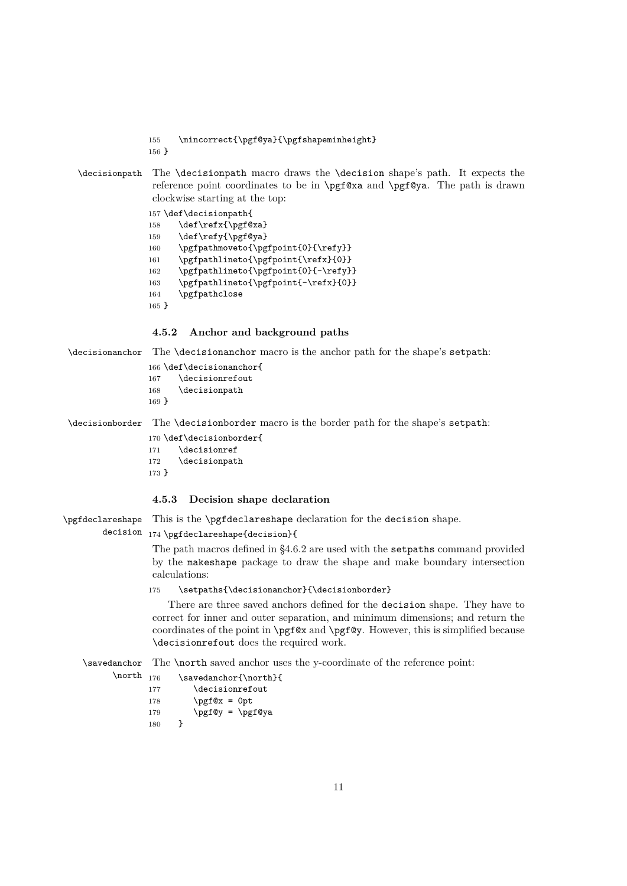155 \mincorrect{\pgf@ya}{\pgfshapeminheight}

156 }

\decisionpath The \decisionpath macro draws the \decision shape's path. It expects the reference point coordinates to be in \pgf@xa and \pgf@ya. The path is drawn clockwise starting at the top:

```
157 \def\decisionpath{
158 \def\refx{\pgf@xa}
159 \def\refy{\pgf@ya}
160 \pgfpathmoveto{\pgfpoint{0}{\refy}}
161 \pgfpathlineto{\pgfpoint{\refx}{0}}
162 \pgfpathlineto{\pgfpoint{0}{-\refy}}
163 \pgfpathlineto{\pgfpoint{-\refx}{0}}
164 \pgfpathclose
165 }
```
#### **4.5.2 Anchor and background paths**

\decisionanchor The \decisionanchor macro is the anchor path for the shape's setpath:

```
166 \def\decisionanchor{
167 \decisionrefout
168 \decisionpath
169 }
```
\decisionborder The \decisionborder macro is the border path for the shape's setpath:

170 \def\decisionborder{ 171 \decisionref 172 \decisionpath

## 173 }

\north

## **4.5.3 Decision shape declaration**

\pgfdeclareshape This is the **\pgfdeclareshape** declaration for the decision shape.

## decision 174 \pgfdeclareshape{decision}{

The path macros defined in §4.6.2 are used with the setpaths command provided by the makeshape package to draw the shape and make boundary intersection calculations:

175 \setpaths{\decisionanchor}{\decisionborder}

There are three saved anchors defined for the decision shape. They have to correct for inner and outer separation, and minimum dimensions; and return the coordinates of the point in \pgf@x and \pgf@y. However, this is simplified because \decisionrefout does the required work.

\savedanchor The **\north** saved anchor uses the y-coordinate of the reference point:

| 176 | \savedanchor{\north}{ |
|-----|-----------------------|
| 177 | \decisionrefout       |
| 178 | $\text{pgf@x} = 0pt$  |
| 179 | $\psi = \psi$         |
| 180 | ι                     |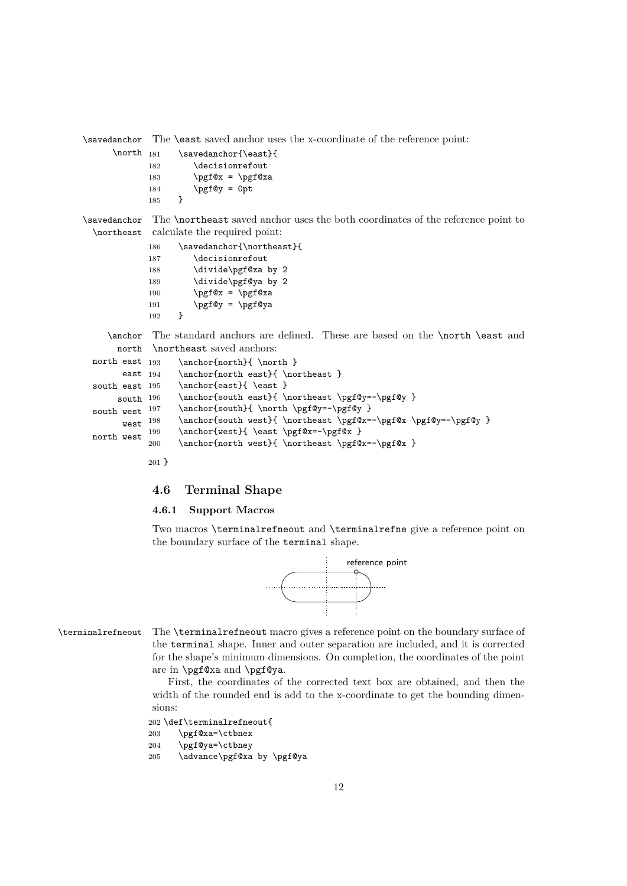```
\savedanchor
The \east saved anchor uses the x-coordinate of the reference point:
     \north _{181}\savedanchor{\east}{
             182 \decisionrefout
            183 \pgf@x = \pgf@xa184 \pgf = 0pt
             185 }
\savedanchor
The \northeast saved anchor uses the both coordinates of the reference point to
 \northeast
calculate the required point:
            186 \savedanchor{\northeast}{
            187 \decisionrefout
            188 \divide\pgf@xa by 2
            189 \divide\pgf@ya by 2
            190 \pgf@x = \pgf@xa191 \pgf@y = \pgf@ya
             192 }
    \anchor
      north
 north east 193
       east 194
 south east 195
      south 196
 south west 197\, west \, ^{198}north west \prescript{199}{}The standard anchors are defined. These are based on the \north \east and
             \northeast saved anchors:
                  \ \ \ \ \ {north}{ \north }
                  \anchor{north east}{ \northeast }
                  \archor{east} \east }
                  \anchor{south east}{ \northeast \pgf@y=-\pgf@y }
                  \anchor{south}{ \north \pgf@y=-\pgf@y }
                  \anchor{south west}{ \northeast \pgf@x=-\pgf@x \pgf@y=-\pgf@y }
                  \anchor{west}{ \east \pgf@x=-\pgf@x }
            200 \anchor{north west}{ \northeast \pgf@x=-\pgf@x }
```
#### 201 }

## **4.6 Terminal Shape**

#### **4.6.1 Support Macros**

Two macros \terminalrefneout and \terminalrefne give a reference point on the boundary surface of the terminal shape.



\terminalrefneout The \terminalrefneout macro gives a reference point on the boundary surface of the terminal shape. Inner and outer separation are included, and it is corrected for the shape's minimum dimensions. On completion, the coordinates of the point are in \pgf@xa and \pgf@ya.

> First, the coordinates of the corrected text box are obtained, and then the width of the rounded end is add to the x-coordinate to get the bounding dimensions:

## 202 \def\terminalrefneout{

```
203 \pgf@xa=\ctbnex
```

```
204 \pgf@ya=\ctbney
```

```
205 \advance\pgf@xa by \pgf@ya
```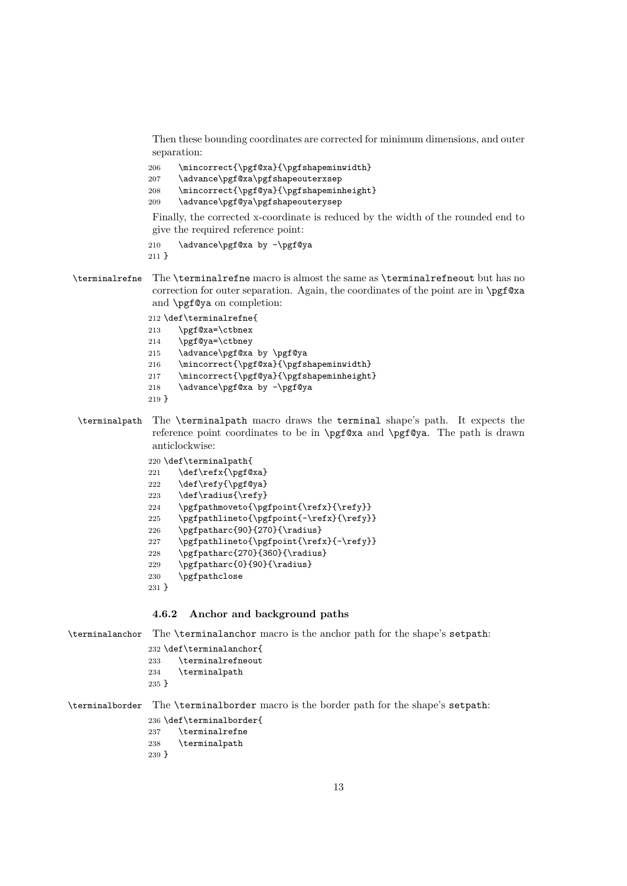Then these bounding coordinates are corrected for minimum dimensions, and outer separation:

206 \mincorrect{\pgf@xa}{\pgfshapeminwidth} 207 \advance\pgf@xa\pgfshapeouterxsep 208 \mincorrect{\pgf@ya}{\pgfshapeminheight}

209 \advance\pgf@ya\pgfshapeouterysep

Finally, the corrected x-coordinate is reduced by the width of the rounded end to give the required reference point:

210 \advance\pgf@xa by -\pgf@ya 211 }

\terminalrefne The \terminalrefne macro is almost the same as \terminalrefneout but has no correction for outer separation. Again, the coordinates of the point are in \pgf@xa and \pgf@ya on completion:

> 212 \def\terminalrefne{ 213 \pgf@xa=\ctbnex

- 214 \pgf@ya=\ctbney
- 215 \advance\pgf@xa by \pgf@ya
- 216 \mincorrect{\pgf@xa}{\pgfshapeminwidth}
- 217 \mincorrect{\pgf@ya}{\pgfshapeminheight}
- 218 \advance\pgf@xa by -\pgf@ya
- 219 }
- \terminalpath The \terminalpath macro draws the terminal shape's path. It expects the reference point coordinates to be in \pgf@xa and \pgf@ya. The path is drawn anticlockwise:

```
220 \def\terminalpath{
221 \def\refx{\pgf@xa}
222 \def\refy{\pgf@ya}
223 \def\radius{\refy}
224 \qquad \texttt{\rightarrow{}\refx}{\refy}\}225 \pgfpathlineto{\pgfpoint{-\refx}{\refy}}
226 \pgfpatharc{90}{270}{\radius}
227 \pgfpathlineto{\pgfpoint{\refx}{-\refy}}
228 \pgfpatharc{270}{360}{\radius}
229 \pgfpatharc{0}{90}{\radius}
230 \pgfpathclose
```
231 }

## **4.6.2 Anchor and background paths**

\terminalanchor The \terminalanchor macro is the anchor path for the shape's setpath:

```
232 \def\terminalanchor{
233 \terminalrefneout
234 \terminalpath
```
235 }

\terminalborder The \terminalborder macro is the border path for the shape's setpath:

- 236 \def\terminalborder{ 237 \terminalrefne 238 \terminalpath
- 239 }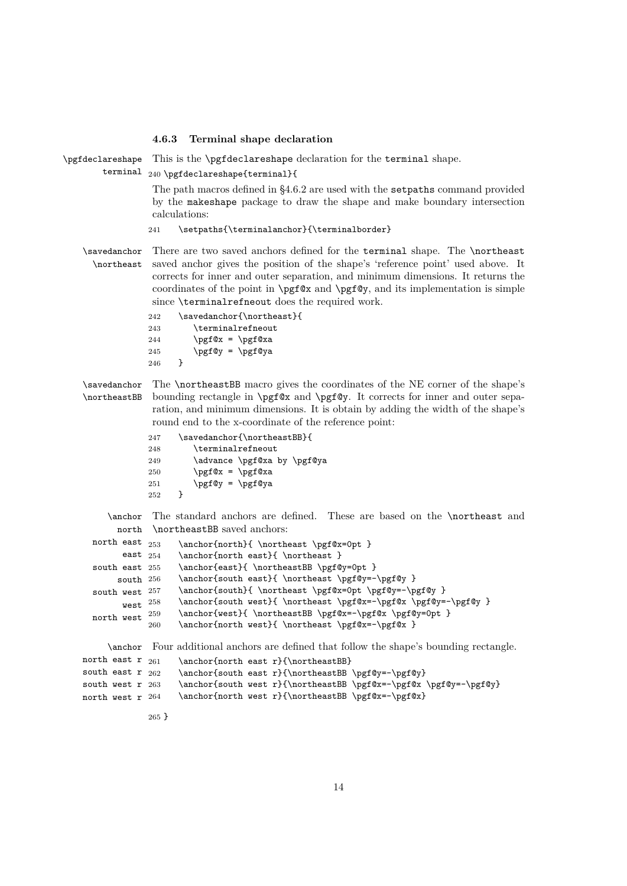#### **4.6.3 Terminal shape declaration**

\pgfdeclareshape terminal  $_{240}$  \pgfdeclareshape{terminal}{ This is the **\pgfdeclareshape** declaration for the **terminal** shape. The path macros defined in §4.6.2 are used with the setpaths command provided

by the makeshape package to draw the shape and make boundary intersection calculations:

#### 241 \setpaths{\terminalanchor}{\terminalborder}

\savedanchor \northeast There are two saved anchors defined for the terminal shape. The \northeast saved anchor gives the position of the shape's 'reference point' used above. It corrects for inner and outer separation, and minimum dimensions. It returns the coordinates of the point in  $\pgf@x$  and  $\pgf@y$ , and its implementation is simple since **\terminalrefneout** does the required work.

```
242 \savedanchor{\northeast}{
243 \terminalrefneout
244 \pgf@x = \pgf@xa245 \pgf@y = \pgf@ya246 }
```
\savedanchor \northeastBB The \northeastBB macro gives the coordinates of the NE corner of the shape's bounding rectangle in \pgf@x and \pgf@y. It corrects for inner and outer separation, and minimum dimensions. It is obtain by adding the width of the shape's round end to the x-coordinate of the reference point:

| 247 | \savedanchor{\northeastBB}{ |
|-----|-----------------------------|
| 248 | \terminalrefneout           |
| 249 | \advance \pgf@xa by \pgf@ya |
| 250 | $\pgf@x = \pgf@xa$          |
| 251 | $\pgf@y = \pgf@ya$          |
| 252 | ι                           |

\anchor north \northeastBB saved anchors: The standard anchors are defined. These are based on the \northeast and

```
north east 253east 254south east 255
     south 256
south west 257west<sup>258</sup>
north west \ ^{259}\anchor{north}{ \northeast \pgf@x=0pt }
                  \anchor{north east}{ \northeast }
                  \anchor{east}{ \northeastBB \pgf@y=0pt }
                  \anchor{south east}{ \northeast \pgf@y=-\pgf@y }
                  \anchor{south}{ \northeast \pgf@x=0pt \pgf@y=-\pgf@y }
                  \anchor{south west}{ \northeast \pgf@x=-\pgf@x \pgf@y=-\pgf@y }
                  \label{thm:main} $$\anchor{west}{ \nvert\} = \pgf@x=-\pgf@x \pgf@y=0pt }260 \anchor{north west}{ \northeast \pgf@x=-\pgf@x }
```
\anchor Four additional anchors are defined that follow the shape's bounding rectangle.

```
north east r_{261}south east r_{262}south west r 263
north west r 264
                    \anchor{north east r}{\northeastBB}
                    \anchor{south east r}{\northeastBB \pgf@y=-\pgf@y}
                    \anchor{south west r}{\northeastBB \pgf@x=-\pgf@x \pgf@y=-\pgf@y}
                    \anchor{north west r}{\northeastBB \pgf@x=-\pgf@x}
```

```
265 }
```